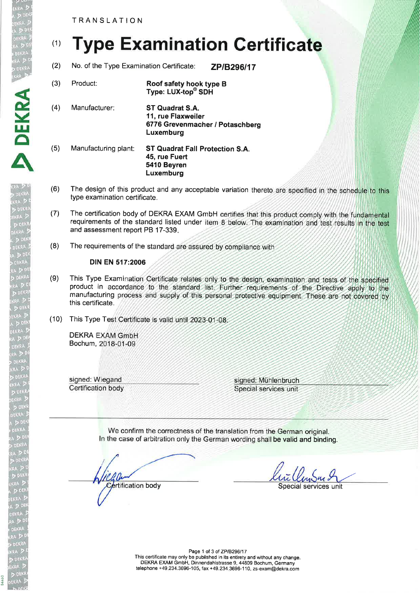TRANSLATION

DEKRA

# (1) **Type Examination Certificate**

- (2) No. of the Type Examination Certificate: **ZP/B296/17**
- (3) Product: Roof safety hook type B Type: LUX-top<sup>®</sup> SDH

(4) Manufacturer: ST Quadrat S.A. 11, rue Flaxweiler 6776 Grevenmacher / Potaschberg Luxemburg

- (5) Manufacturing plant: ST Quadrat Fall Protection S.A. 45, rue Fuert 5410 Beyren Luxemburg
- (6) The design of this product and any acceptable variation thereto are specified in the schedule to this type examination certificate.
- (7) The certification body of DEKRA EXAM GmbH certifies that this product comply with the fundamental requirements of the standard listed under item 8 below. The examination and test results in the test and assessment report PB 17-339
- (8) The requirements of the standard are assured by compliance with

### DIN EN 517:2006

- (9) This Type Examination Certificate relates only to the design, examination and tests of the specified product in accordance to the standard list. Further requirements of the Directive apply to the manufacturing process and supply of this personal protective equipment. These are not covered by this certificate.
- (10) This Type Test Certificate is valid until 2023-01-08

**DEKRA EXAM GmbH** Bochum, 2018-01-09

signed: Wiegand Certification body signed: Mühlenbruch Special services unit

We confirm the correctness of the translation from the German original. In the case of arbitration only the German wording shall be valid and binding.

ertification body

lui Umsur 2

Special services unit

Page 1 of 3 of ZP/B296/17 This certificate may only be published in its entirety and without any change. DEKM EXAM GmbH, Dinnendahlstrasse 9, 44809 Bochum, Germany telephone +49.234.3696-1 05, fax +49.234.3696-1 1 0, zs-exam@dekra.com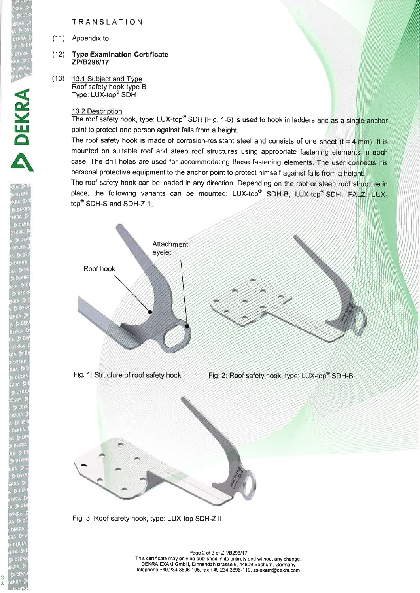TRANSLATION

(11) Appendix to

DEKRA

#### $(12)$ **Type Examination Certificate** ZP/B296/17

(13) 13.1 Subiect and Tvpe Roof safety hook type B Type: LUX-top<sup>®</sup> SDH

### 13.2 Description

The roof safety hook, type: LUX-top® SDH (Fig. 1-5) is used to hook in ladders and as a single anchor point to protect one person against falls from a height.

The roof safety hook is made of corrosion-resistant steel and consists of one sheet ( $t = 4$  mm). It is mounted on suitable roof and steep roof structures using appropriate fastening elements in each case. The drill holes are used for accommodating these fastening elements. The user connects his personal protective equipment to the anchor point to protect himself against falls from a height

The roof safety hook can be loaded in any direction. Depending on the roof or steep roof structure in place, the following variants can be mounted: LUX-top<sup>®</sup> SDH-B, LUX-top<sup>®</sup> SDH- FALZ, LUXtop<sup>®</sup> SDH-S and SDH-Z II.



Fig. 3: Roof safety hook, type: LUX-top SDH-Z II

Page 2 of 3 of ZP/B296/17 This certificate may only be published in its entirety and without any change. DEKRA EXAM GmbH, Dinnendahlstrasse g, 44809 Bochum, Germany telephone +49.234.3696-105, fax +49.234.3696-110, zs-exam@dekra.com